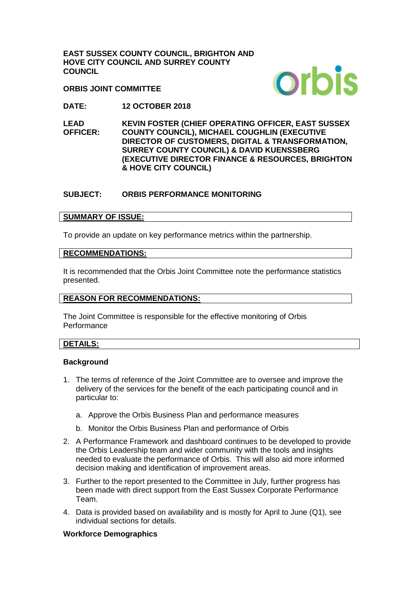**EAST SUSSEX COUNTY COUNCIL, BRIGHTON AND HOVE CITY COUNCIL AND SURREY COUNTY COUNCIL**

**ORBIS JOINT COMMITTEE**



**DATE: 12 OCTOBER 2018**

**LEAD OFFICER: KEVIN FOSTER (CHIEF OPERATING OFFICER, EAST SUSSEX COUNTY COUNCIL), MICHAEL COUGHLIN (EXECUTIVE DIRECTOR OF CUSTOMERS, DIGITAL & TRANSFORMATION, SURREY COUNTY COUNCIL) & DAVID KUENSSBERG (EXECUTIVE DIRECTOR FINANCE & RESOURCES, BRIGHTON & HOVE CITY COUNCIL)** 

# **SUBJECT: ORBIS PERFORMANCE MONITORING**

## **SUMMARY OF ISSUE:**

To provide an update on key performance metrics within the partnership.

### **RECOMMENDATIONS:**

It is recommended that the Orbis Joint Committee note the performance statistics presented.

### **REASON FOR RECOMMENDATIONS:**

The Joint Committee is responsible for the effective monitoring of Orbis Performance

### **DETAILS:**

### **Background**

- 1. The terms of reference of the Joint Committee are to oversee and improve the delivery of the services for the benefit of the each participating council and in particular to:
	- a. Approve the Orbis Business Plan and performance measures
	- b. Monitor the Orbis Business Plan and performance of Orbis
- 2. A Performance Framework and dashboard continues to be developed to provide the Orbis Leadership team and wider community with the tools and insights needed to evaluate the performance of Orbis. This will also aid more informed decision making and identification of improvement areas.
- 3. Further to the report presented to the Committee in July, further progress has been made with direct support from the East Sussex Corporate Performance Team.
- 4. Data is provided based on availability and is mostly for April to June (Q1), see individual sections for details.

### **Workforce Demographics**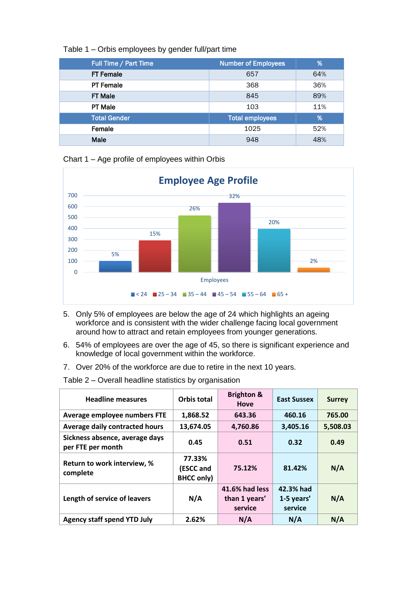| Table 1 – Orbis employees by gender full/part time |  |  |
|----------------------------------------------------|--|--|
|                                                    |  |  |

| Full Time / Part Time | <b>Number of Employees</b> | 1%            |
|-----------------------|----------------------------|---------------|
| <b>FT Female</b>      | 657                        | 64%           |
| <b>PT Female</b>      | 368                        | 36%           |
| <b>FT Male</b>        | 845                        | 89%           |
| <b>PT Male</b>        | 103                        | 11%           |
| <b>Total Gender</b>   | <b>Total employees</b>     | $\frac{9}{6}$ |
| Female                | 1025                       | 52%           |
| Male                  | 948<br>48%                 |               |

Chart 1 – Age profile of employees within Orbis



- 5. Only 5% of employees are below the age of 24 which highlights an ageing workforce and is consistent with the wider challenge facing local government around how to attract and retain employees from younger generations.
- 6. 54% of employees are over the age of 45, so there is significant experience and knowledge of local government within the workforce.
- 7. Over 20% of the workforce are due to retire in the next 10 years.

| <b>Headline measures</b>                            | Orbis total                              | <b>Brighton &amp;</b><br><b>Hove</b>       | <b>East Sussex</b>                 | <b>Surrey</b> |
|-----------------------------------------------------|------------------------------------------|--------------------------------------------|------------------------------------|---------------|
| Average employee numbers FTE                        | 1,868.52                                 | 643.36                                     | 460.16                             | 765.00        |
| Average daily contracted hours                      | 13,674.05                                | 4,760.86                                   | 3,405.16                           | 5,508.03      |
| Sickness absence, average days<br>per FTE per month | 0.45                                     | 0.51                                       | 0.32                               | 0.49          |
| Return to work interview, %<br>complete             | 77.33%<br>(ESCC and<br><b>BHCC only)</b> | 75.12%                                     | 81.42%                             | N/A           |
| Length of service of leavers                        | N/A                                      | 41.6% had less<br>than 1 years'<br>service | 42.3% had<br>1-5 years'<br>service | N/A           |
| <b>Agency staff spend YTD July</b>                  | 2.62%                                    | N/A                                        | N/A                                | N/A           |

Table 2 – Overall headline statistics by organisation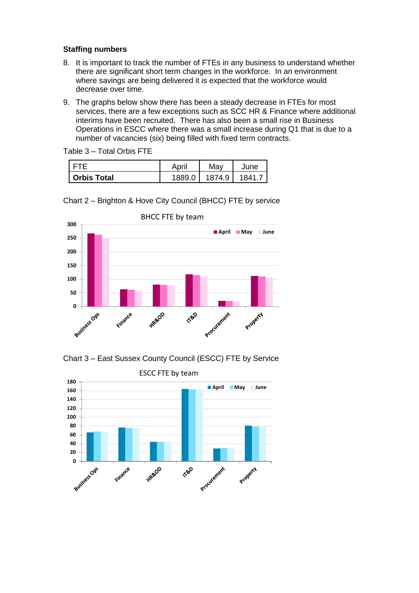### **Staffing numbers**

- 8. It is important to track the number of FTEs in any business to understand whether there are significant short term changes in the workforce. In an environment where savings are being delivered it is expected that the workforce would decrease over time.
- 9. The graphs below show there has been a steady decrease in FTEs for most services, there are a few exceptions such as SCC HR & Finance where additional interims have been recruited. There has also been a small rise in Business Operations in ESCC where there was a small increase during Q1 that is due to a number of vacancies (six) being filled with fixed term contracts.

Table 3 – Total Orbis FTE

|                    | April  | May    | June   |
|--------------------|--------|--------|--------|
| <b>Orbis Total</b> | 1889 N | 1874.9 | 1841 - |







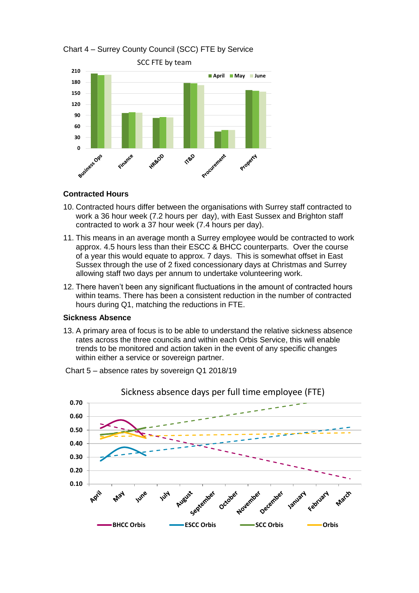

# Chart 4 – Surrey County Council (SCC) FTE by Service

### **Contracted Hours**

- 10. Contracted hours differ between the organisations with Surrey staff contracted to work a 36 hour week (7.2 hours per day), with East Sussex and Brighton staff contracted to work a 37 hour week (7.4 hours per day).
- 11. This means in an average month a Surrey employee would be contracted to work approx. 4.5 hours less than their ESCC & BHCC counterparts. Over the course of a year this would equate to approx. 7 days. This is somewhat offset in East Sussex through the use of 2 fixed concessionary days at Christmas and Surrey allowing staff two days per annum to undertake volunteering work.
- 12. There haven't been any significant fluctuations in the amount of contracted hours within teams. There has been a consistent reduction in the number of contracted hours during Q1, matching the reductions in FTE.

#### **Sickness Absence**

13. A primary area of focus is to be able to understand the relative sickness absence rates across the three councils and within each Orbis Service, this will enable trends to be monitored and action taken in the event of any specific changes within either a service or sovereign partner.



Chart 5 – absence rates by sovereign Q1 2018/19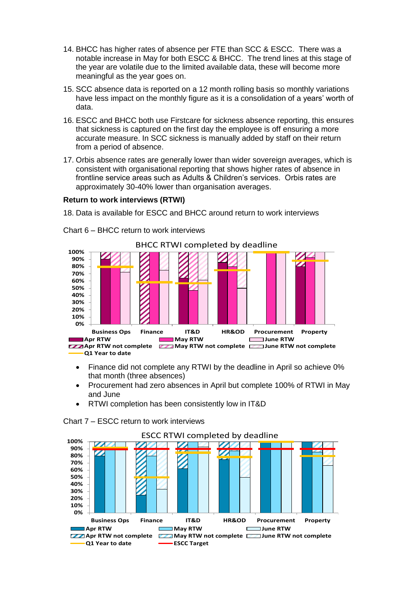- 14. BHCC has higher rates of absence per FTE than SCC & ESCC. There was a notable increase in May for both ESCC & BHCC. The trend lines at this stage of the year are volatile due to the limited available data, these will become more meaningful as the year goes on.
- 15. SCC absence data is reported on a 12 month rolling basis so monthly variations have less impact on the monthly figure as it is a consolidation of a years' worth of data.
- 16. ESCC and BHCC both use Firstcare for sickness absence reporting, this ensures that sickness is captured on the first day the employee is off ensuring a more accurate measure. In SCC sickness is manually added by staff on their return from a period of absence.
- 17. Orbis absence rates are generally lower than wider sovereign averages, which is consistent with organisational reporting that shows higher rates of absence in frontline service areas such as Adults & Children's services. Orbis rates are approximately 30-40% lower than organisation averages.

### **Return to work interviews (RTWI)**

18. Data is available for ESCC and BHCC around return to work interviews



Chart 6 – BHCC return to work interviews

• Finance did not complete any RTWI by the deadline in April so achieve 0% that month (three absences)

- Procurement had zero absences in April but complete 100% of RTWI in May and June
- RTWI completion has been consistently low in IT&D



Chart 7 – ESCC return to work interviews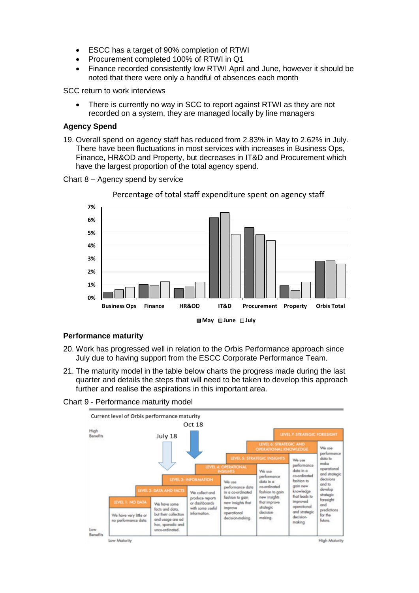- ESCC has a target of 90% completion of RTWI
- Procurement completed 100% of RTWI in Q1
- Finance recorded consistently low RTWI April and June, however it should be noted that there were only a handful of absences each month

SCC return to work interviews

 There is currently no way in SCC to report against RTWI as they are not recorded on a system, they are managed locally by line managers

### **Agency Spend**

19. Overall spend on agency staff has reduced from 2.83% in May to 2.62% in July. There have been fluctuations in most services with increases in Business Ops, Finance, HR&OD and Property, but decreases in IT&D and Procurement which have the largest proportion of the total agency spend.





Percentage of total staff expenditure spent on agency staff

**May June July**

#### **Performance maturity**

- 20. Work has progressed well in relation to the Orbis Performance approach since July due to having support from the ESCC Corporate Performance Team.
- 21. The maturity model in the table below charts the progress made during the last quarter and details the steps that will need to be taken to develop this approach further and realise the aspirations in this important area.

#### Chart 9 - Performance maturity model



Low Maturity

High Maturity